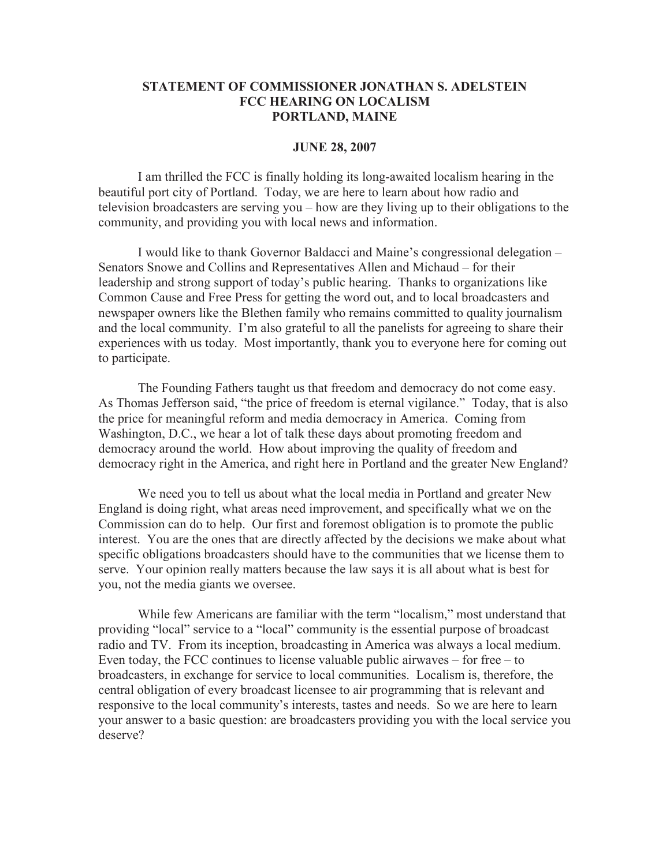## **STATEMENT OF COMMISSIONER JONATHAN S. ADELSTEIN FCC HEARING ON LOCALISM PORTLAND, MAINE**

## **JUNE 28, 2007**

I am thrilled the FCC is finally holding its long-awaited localism hearing in the beautiful port city of Portland. Today, we are here to learn about how radio and television broadcasters are serving you – how are they living up to their obligations to the community, and providing you with local news and information.

I would like to thank Governor Baldacci and Maine's congressional delegation – Senators Snowe and Collins and Representatives Allen and Michaud – for their leadership and strong support of today's public hearing. Thanks to organizations like Common Cause and Free Press for getting the word out, and to local broadcasters and newspaper owners like the Blethen family who remains committed to quality journalism and the local community. I'm also grateful to all the panelists for agreeing to share their experiences with us today. Most importantly, thank you to everyone here for coming out to participate.

The Founding Fathers taught us that freedom and democracy do not come easy. As Thomas Jefferson said, "the price of freedom is eternal vigilance." Today, that is also the price for meaningful reform and media democracy in America. Coming from Washington, D.C., we hear a lot of talk these days about promoting freedom and democracy around the world. How about improving the quality of freedom and democracy right in the America, and right here in Portland and the greater New England?

We need you to tell us about what the local media in Portland and greater New England is doing right, what areas need improvement, and specifically what we on the Commission can do to help. Our first and foremost obligation is to promote the public interest. You are the ones that are directly affected by the decisions we make about what specific obligations broadcasters should have to the communities that we license them to serve. Your opinion really matters because the law says it is all about what is best for you, not the media giants we oversee.

While few Americans are familiar with the term "localism," most understand that providing "local" service to a "local" community is the essential purpose of broadcast radio and TV. From its inception, broadcasting in America was always a local medium. Even today, the FCC continues to license valuable public airwaves – for free – to broadcasters, in exchange for service to local communities. Localism is, therefore, the central obligation of every broadcast licensee to air programming that is relevant and responsive to the local community's interests, tastes and needs. So we are here to learn your answer to a basic question: are broadcasters providing you with the local service you deserve?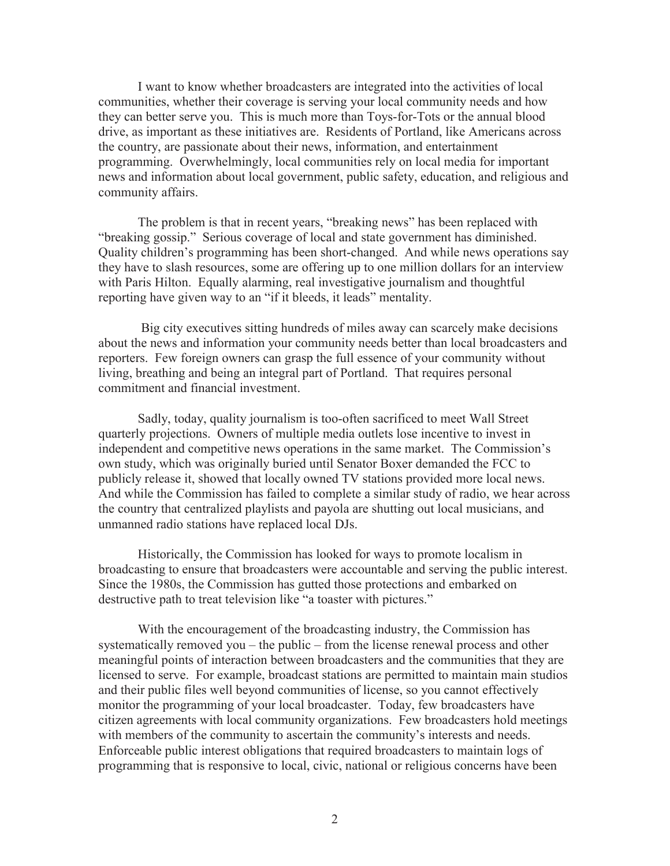I want to know whether broadcasters are integrated into the activities of local communities, whether their coverage is serving your local community needs and how they can better serve you. This is much more than Toys-for-Tots or the annual blood drive, as important as these initiatives are. Residents of Portland, like Americans across the country, are passionate about their news, information, and entertainment programming. Overwhelmingly, local communities rely on local media for important news and information about local government, public safety, education, and religious and community affairs.

The problem is that in recent years, "breaking news" has been replaced with "breaking gossip." Serious coverage of local and state government has diminished. Quality children's programming has been short-changed. And while news operations say they have to slash resources, some are offering up to one million dollars for an interview with Paris Hilton. Equally alarming, real investigative journalism and thoughtful reporting have given way to an "if it bleeds, it leads" mentality.

Big city executives sitting hundreds of miles away can scarcely make decisions about the news and information your community needs better than local broadcasters and reporters. Few foreign owners can grasp the full essence of your community without living, breathing and being an integral part of Portland. That requires personal commitment and financial investment.

Sadly, today, quality journalism is too-often sacrificed to meet Wall Street quarterly projections. Owners of multiple media outlets lose incentive to invest in independent and competitive news operations in the same market. The Commission's own study, which was originally buried until Senator Boxer demanded the FCC to publicly release it, showed that locally owned TV stations provided more local news. And while the Commission has failed to complete a similar study of radio, we hear across the country that centralized playlists and payola are shutting out local musicians, and unmanned radio stations have replaced local DJs.

Historically, the Commission has looked for ways to promote localism in broadcasting to ensure that broadcasters were accountable and serving the public interest. Since the 1980s, the Commission has gutted those protections and embarked on destructive path to treat television like "a toaster with pictures."

With the encouragement of the broadcasting industry, the Commission has systematically removed you – the public – from the license renewal process and other meaningful points of interaction between broadcasters and the communities that they are licensed to serve. For example, broadcast stations are permitted to maintain main studios and their public files well beyond communities of license, so you cannot effectively monitor the programming of your local broadcaster. Today, few broadcasters have citizen agreements with local community organizations. Few broadcasters hold meetings with members of the community to ascertain the community's interests and needs. Enforceable public interest obligations that required broadcasters to maintain logs of programming that is responsive to local, civic, national or religious concerns have been